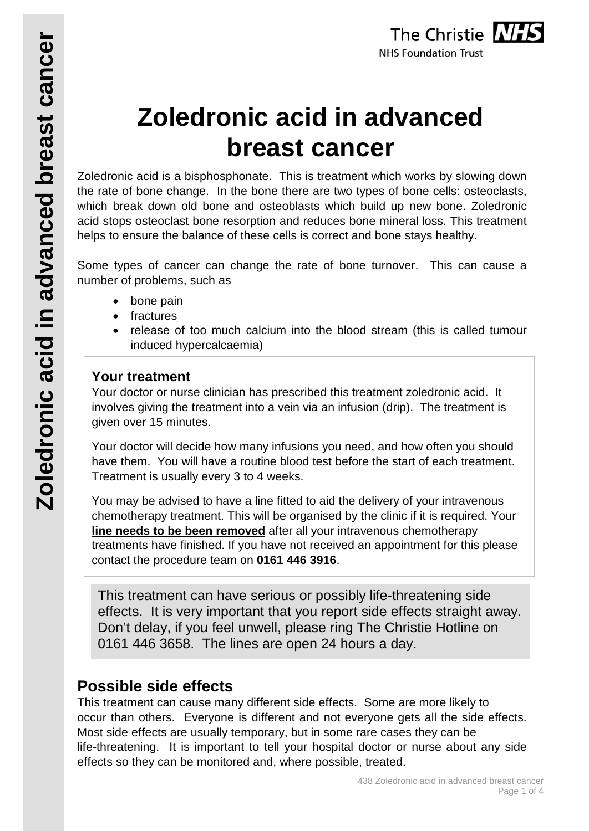# **Zoledronic acid in advanced breast cancer**

Zoledronic acid is a bisphosphonate. This is treatment which works by slowing down the rate of bone change. In the bone there are two types of bone cells: osteoclasts, which break down old bone and osteoblasts which build up new bone. Zoledronic acid stops osteoclast bone resorption and reduces bone mineral loss. This treatment helps to ensure the balance of these cells is correct and bone stays healthy.

Some types of cancer can change the rate of bone turnover. This can cause a number of problems, such as

- bone pain
- fractures
- release of too much calcium into the blood stream (this is called tumour induced hypercalcaemia)

# **Your treatment**

Your doctor or nurse clinician has prescribed this treatment zoledronic acid. It involves giving the treatment into a vein via an infusion (drip). The treatment is given over 15 minutes.

Your doctor will decide how many infusions you need, and how often you should have them. You will have a routine blood test before the start of each treatment. Treatment is usually every 3 to 4 weeks.

You may be advised to have a line fitted to aid the delivery of your intravenous chemotherapy treatment. This will be organised by the clinic if it is required. Your **line needs to be been removed** after all your intravenous chemotherapy treatments have finished. If you have not received an appointment for this please contact the procedure team on **0161 446 3916**.

This treatment can have serious or possibly life-threatening side effects. It is very important that you report side effects straight away. Don't delay, if you feel unwell, please ring The Christie Hotline on 0161 446 3658. The lines are open 24 hours a day.

# **Possible side effects**

This treatment can cause many different side effects. Some are more likely to occur than others. Everyone is different and not everyone gets all the side effects. Most side effects are usually temporary, but in some rare cases they can be life-threatening. It is important to tell your hospital doctor or nurse about any side effects so they can be monitored and, where possible, treated.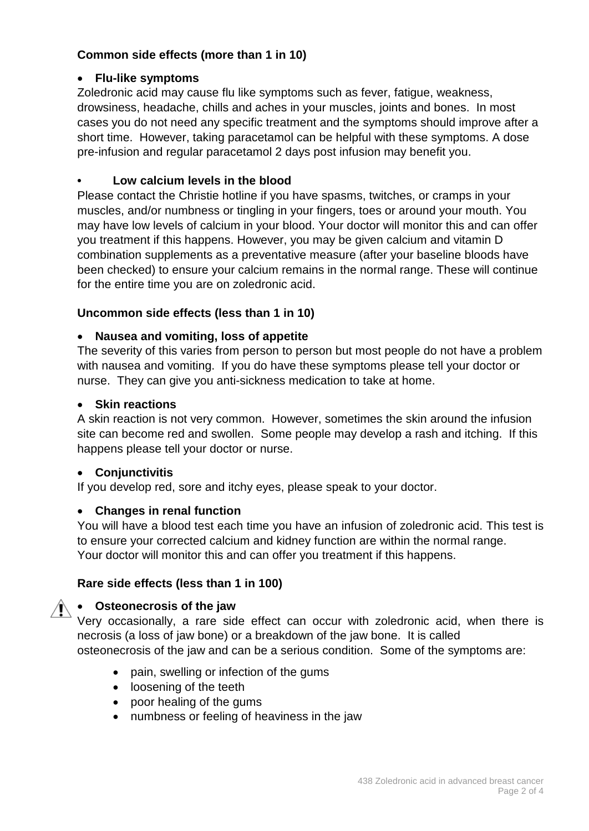## **Common side effects (more than 1 in 10)**

#### • **Flu-like symptoms**

Zoledronic acid may cause flu like symptoms such as fever, fatigue, weakness, drowsiness, headache, chills and aches in your muscles, joints and bones. In most cases you do not need any specific treatment and the symptoms should improve after a short time. However, taking paracetamol can be helpful with these symptoms. A dose pre-infusion and regular paracetamol 2 days post infusion may benefit you.

#### **• Low calcium levels in the blood**

Please contact the Christie hotline if you have spasms, twitches, or cramps in your muscles, and/or numbness or tingling in your fingers, toes or around your mouth. You may have low levels of calcium in your blood. Your doctor will monitor this and can offer you treatment if this happens. However, you may be given calcium and vitamin D combination supplements as a preventative measure (after your baseline bloods have been checked) to ensure your calcium remains in the normal range. These will continue for the entire time you are on zoledronic acid.

#### **Uncommon side effects (less than 1 in 10)**

#### • **Nausea and vomiting, loss of appetite**

The severity of this varies from person to person but most people do not have a problem with nausea and vomiting. If you do have these symptoms please tell your doctor or nurse. They can give you anti-sickness medication to take at home.

#### • **Skin reactions**

A skin reaction is not very common. However, sometimes the skin around the infusion site can become red and swollen. Some people may develop a rash and itching. If this happens please tell your doctor or nurse.

#### • **Conjunctivitis**

If you develop red, sore and itchy eyes, please speak to your doctor.

#### • **Changes in renal function**

You will have a blood test each time you have an infusion of zoledronic acid. This test is to ensure your corrected calcium and kidney function are within the normal range. Your doctor will monitor this and can offer you treatment if this happens.

#### **Rare side effects (less than 1 in 100)**

#### • **Osteonecrosis of the jaw**

Very occasionally, a rare side effect can occur with zoledronic acid, when there is necrosis (a loss of jaw bone) or a breakdown of the jaw bone. It is called

osteonecrosis of the jaw and can be a serious condition. Some of the symptoms are:

- pain, swelling or infection of the gums
- loosening of the teeth
- poor healing of the gums
- numbness or feeling of heaviness in the jaw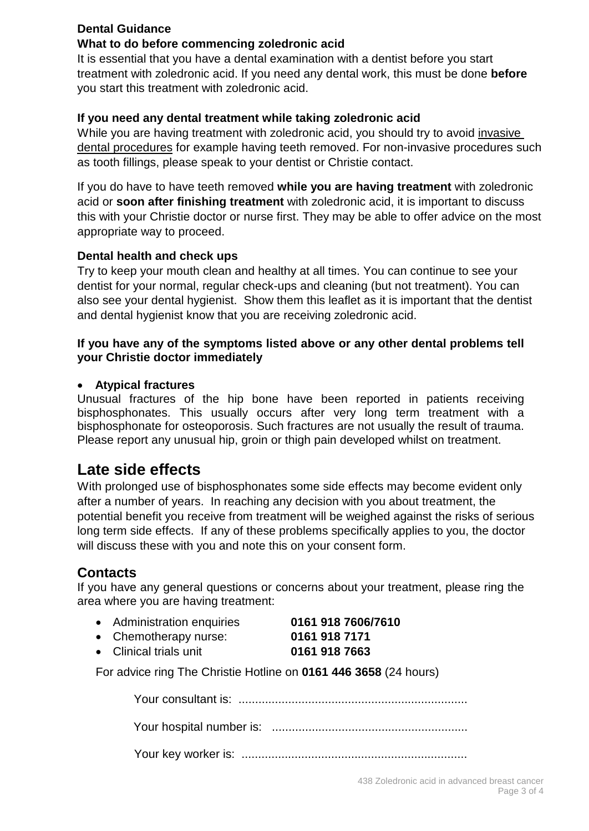### **Dental Guidance**

#### **What to do before commencing zoledronic acid**

It is essential that you have a dental examination with a dentist before you start treatment with zoledronic acid. If you need any dental work, this must be done **before** you start this treatment with zoledronic acid.

#### **If you need any dental treatment while taking zoledronic acid**

While you are having treatment with zoledronic acid, you should try to avoid invasive dental procedures for example having teeth removed. For non-invasive procedures such as tooth fillings, please speak to your dentist or Christie contact.

If you do have to have teeth removed **while you are having treatment** with zoledronic acid or **soon after finishing treatment** with zoledronic acid, it is important to discuss this with your Christie doctor or nurse first. They may be able to offer advice on the most appropriate way to proceed.

#### **Dental health and check ups**

Try to keep your mouth clean and healthy at all times. You can continue to see your dentist for your normal, regular check-ups and cleaning (but not treatment). You can also see your dental hygienist. Show them this leaflet as it is important that the dentist and dental hygienist know that you are receiving zoledronic acid.

#### **If you have any of the symptoms listed above or any other dental problems tell your Christie doctor immediately**

#### • **Atypical fractures**

Unusual fractures of the hip bone have been reported in patients receiving bisphosphonates. This usually occurs after very long term treatment with a bisphosphonate for osteoporosis. Such fractures are not usually the result of trauma. Please report any unusual hip, groin or thigh pain developed whilst on treatment.

# **Late side effects**

With prolonged use of bisphosphonates some side effects may become evident only after a number of years. In reaching any decision with you about treatment, the potential benefit you receive from treatment will be weighed against the risks of serious long term side effects. If any of these problems specifically applies to you, the doctor will discuss these with you and note this on your consent form.

# **Contacts**

If you have any general questions or concerns about your treatment, please ring the area where you are having treatment:

- Administration enquiries **0161 918 7606/7610**
- Chemotherapy nurse: **0161 918 7171**
- Clinical trials unit **0161 918 7663**

For advice ring The Christie Hotline on **0161 446 3658** (24 hours)

Your consultant is: .....................................................................

Your hospital number is: ...........................................................

Your key worker is: ....................................................................